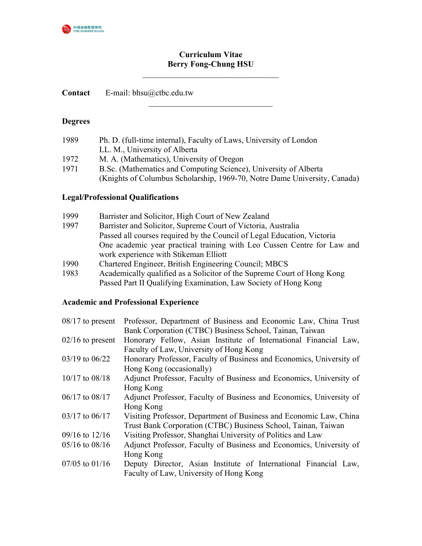

# Curriculum Vitae Berry Fong-Chung HSU

Contact E-mail: bhsu@ctbc.edu.tw

## **Degrees**

| 1989 | Ph. D. (full-time internal), Faculty of Laws, University of London        |
|------|---------------------------------------------------------------------------|
|      | LL. M., University of Alberta                                             |
| 1972 | M. A. (Mathematics), University of Oregon                                 |
| 1971 | B.Sc. (Mathematics and Computing Science), University of Alberta          |
|      | (Knights of Columbus Scholarship, 1969-70, Notre Dame University, Canada) |

## Legal/Professional Qualifications

| 1999 | Barrister and Solicitor, High Court of New Zealand                      |
|------|-------------------------------------------------------------------------|
| 1997 | Barrister and Solicitor, Supreme Court of Victoria, Australia           |
|      | Passed all courses required by the Council of Legal Education, Victoria |
|      | One academic year practical training with Leo Cussen Centre for Law and |
|      | work experience with Stikeman Elliott                                   |
| 1990 | Chartered Engineer, British Engineering Council; MBCS                   |
| 1983 | Academically qualified as a Solicitor of the Supreme Court of Hong Kong |
|      | Passed Part II Qualifying Examination, Law Society of Hong Kong         |

# Academic and Professional Experience

| $08/17$ to present | Professor, Department of Business and Economic Law, China Trust      |
|--------------------|----------------------------------------------------------------------|
|                    | Bank Corporation (CTBC) Business School, Tainan, Taiwan              |
| $02/16$ to present | Honorary Fellow, Asian Institute of International Financial Law,     |
|                    | Faculty of Law, University of Hong Kong                              |
| $03/19$ to $06/22$ | Honorary Professor, Faculty of Business and Economics, University of |
|                    | Hong Kong (occasionally)                                             |
| $10/17$ to $08/18$ | Adjunct Professor, Faculty of Business and Economics, University of  |
|                    | Hong Kong                                                            |
| $06/17$ to $08/17$ | Adjunct Professor, Faculty of Business and Economics, University of  |
|                    | Hong Kong                                                            |
| $03/17$ to $06/17$ | Visiting Professor, Department of Business and Economic Law, China   |
|                    | Trust Bank Corporation (CTBC) Business School, Tainan, Taiwan        |
| $09/16$ to $12/16$ | Visiting Professor, Shanghai University of Politics and Law          |
| $05/16$ to $08/16$ | Adjunct Professor, Faculty of Business and Economics, University of  |
|                    | Hong Kong                                                            |
| $07/05$ to $01/16$ | Deputy Director, Asian Institute of International Financial Law,     |
|                    | Faculty of Law, University of Hong Kong                              |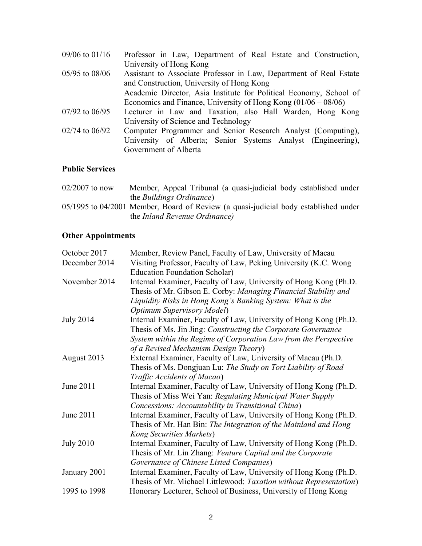| $09/06$ to $01/16$ | Professor in Law, Department of Real Estate and Construction,      |
|--------------------|--------------------------------------------------------------------|
|                    | University of Hong Kong                                            |
| $05/95$ to $08/06$ | Assistant to Associate Professor in Law, Department of Real Estate |
|                    | and Construction, University of Hong Kong                          |
|                    | Academic Director, Asia Institute for Political Economy, School of |
|                    | Economics and Finance, University of Hong Kong $(01/06 - 08/06)$   |
| $07/92$ to $06/95$ | Lecturer in Law and Taxation, also Hall Warden, Hong Kong          |
|                    | University of Science and Technology                               |
| $02/74$ to $06/92$ | Computer Programmer and Senior Research Analyst (Computing),       |
|                    | University of Alberta; Senior Systems Analyst (Engineering),       |
|                    | Government of Alberta                                              |

# Public Services

| $02/2007$ to now | Member, Appeal Tribunal (a quasi-judicial body established under                        |
|------------------|-----------------------------------------------------------------------------------------|
|                  | the <i>Buildings Ordinance</i> )                                                        |
|                  | $05/1995$ to $04/2001$ Member, Board of Review (a quasi-judicial body established under |
|                  | the <i>Inland Revenue Ordinance</i> )                                                   |

# Other Appointments

| October 2017     | Member, Review Panel, Faculty of Law, University of Macau          |
|------------------|--------------------------------------------------------------------|
| December 2014    | Visiting Professor, Faculty of Law, Peking University (K.C. Wong   |
|                  | <b>Education Foundation Scholar)</b>                               |
| November 2014    | Internal Examiner, Faculty of Law, University of Hong Kong (Ph.D.  |
|                  | Thesis of Mr. Gibson E. Corby: Managing Financial Stability and    |
|                  | Liquidity Risks in Hong Kong's Banking System: What is the         |
|                  | <b>Optimum Supervisory Model</b> )                                 |
| <b>July 2014</b> | Internal Examiner, Faculty of Law, University of Hong Kong (Ph.D.  |
|                  | Thesis of Ms. Jin Jing: Constructing the Corporate Governance      |
|                  | System within the Regime of Corporation Law from the Perspective   |
|                  | of a Revised Mechanism Design Theory)                              |
| August 2013      | External Examiner, Faculty of Law, University of Macau (Ph.D.      |
|                  | Thesis of Ms. Dongjuan Lu: The Study on Tort Liability of Road     |
|                  | Traffic Accidents of Macao)                                        |
| June 2011        | Internal Examiner, Faculty of Law, University of Hong Kong (Ph.D.  |
|                  | Thesis of Miss Wei Yan: Regulating Municipal Water Supply          |
|                  | Concessions: Accountability in Transitional China)                 |
| June 2011        | Internal Examiner, Faculty of Law, University of Hong Kong (Ph.D.  |
|                  | Thesis of Mr. Han Bin: The Integration of the Mainland and Hong    |
|                  | Kong Securities Markets)                                           |
| <b>July 2010</b> | Internal Examiner, Faculty of Law, University of Hong Kong (Ph.D.  |
|                  | Thesis of Mr. Lin Zhang: Venture Capital and the Corporate         |
|                  | Governance of Chinese Listed Companies)                            |
| January 2001     | Internal Examiner, Faculty of Law, University of Hong Kong (Ph.D.  |
|                  | Thesis of Mr. Michael Littlewood: Taxation without Representation) |
| 1995 to 1998     | Honorary Lecturer, School of Business, University of Hong Kong     |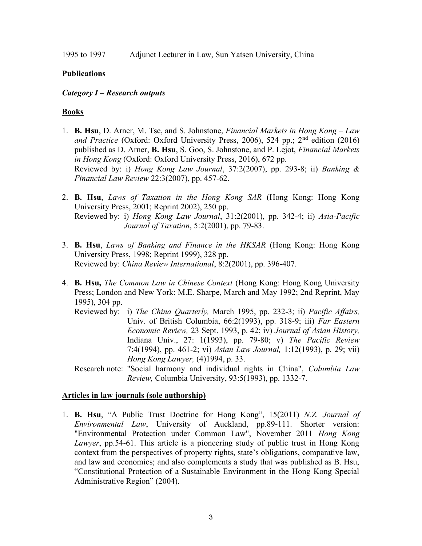#### **Publications**

#### Category I – Research outputs

## Books

- 1. B. Hsu, D. Arner, M. Tse, and S. Johnstone, Financial Markets in Hong Kong Law and Practice (Oxford: Oxford University Press, 2006), 524 pp.;  $2<sup>nd</sup>$  edition (2016) published as D. Arner, B. Hsu, S. Goo, S. Johnstone, and P. Lejot, *Financial Markets* in Hong Kong (Oxford: Oxford University Press, 2016), 672 pp. Reviewed by: i) Hong Kong Law Journal, 37:2(2007), pp. 293-8; ii) Banking & Financial Law Review 22:3(2007), pp. 457-62.
- 2. **B. Hsu**, Laws of Taxation in the Hong Kong SAR (Hong Kong: Hong Kong University Press, 2001; Reprint 2002), 250 pp. Reviewed by: i) Hong Kong Law Journal, 31:2(2001), pp. 342-4; ii) Asia-Pacific Journal of Taxation, 5:2(2001), pp. 79-83.
- 3. B. Hsu, Laws of Banking and Finance in the HKSAR (Hong Kong: Hong Kong University Press, 1998; Reprint 1999), 328 pp. Reviewed by: China Review International, 8:2(2001), pp. 396-407.
- 4. **B. Hsu,** The Common Law in Chinese Context (Hong Kong: Hong Kong University Press; London and New York: M.E. Sharpe, March and May 1992; 2nd Reprint, May 1995), 304 pp.
	- Reviewed by: i) The China Quarterly, March 1995, pp. 232-3; ii) Pacific Affairs, Univ. of British Columbia, 66:2(1993), pp. 318-9; iii) Far Eastern Economic Review, 23 Sept. 1993, p. 42; iv) Journal of Asian History, Indiana Univ., 27: 1(1993), pp. 79-80; v) The Pacific Review 7:4(1994), pp. 461-2; vi) Asian Law Journal, 1:12(1993), p. 29; vii) Hong Kong Lawyer, (4)1994, p. 33.
	- Research note: "Social harmony and individual rights in China", Columbia Law Review, Columbia University, 93:5(1993), pp. 1332-7.

#### Articles in law journals (sole authorship)

1. B. Hsu, "A Public Trust Doctrine for Hong Kong", 15(2011) N.Z. Journal of Environmental Law, University of Auckland, pp.89-111. Shorter version: "Environmental Protection under Common Law", November 2011 Hong Kong Lawyer, pp.54-61. This article is a pioneering study of public trust in Hong Kong context from the perspectives of property rights, state's obligations, comparative law, and law and economics; and also complements a study that was published as B. Hsu, "Constitutional Protection of a Sustainable Environment in the Hong Kong Special Administrative Region" (2004).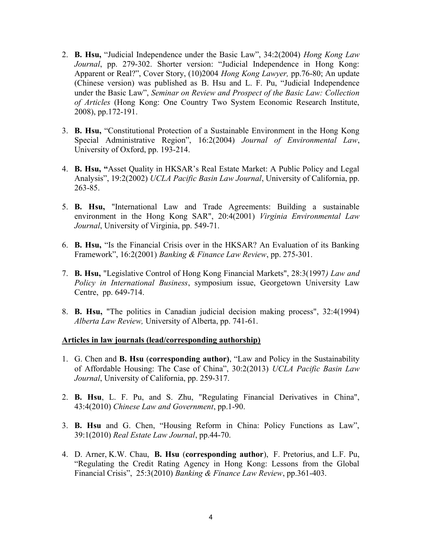- 2. **B. Hsu,** "Judicial Independence under the Basic Law", 34:2(2004) Hong Kong Law Journal, pp. 279-302. Shorter version: "Judicial Independence in Hong Kong: Apparent or Real?", Cover Story, (10)2004 Hong Kong Lawyer, pp.76-80; An update (Chinese version) was published as B. Hsu and L. F. Pu, "Judicial Independence under the Basic Law", Seminar on Review and Prospect of the Basic Law: Collection of Articles (Hong Kong: One Country Two System Economic Research Institute, 2008), pp.172-191.
- 3. B. Hsu, "Constitutional Protection of a Sustainable Environment in the Hong Kong Special Administrative Region", 16:2(2004) Journal of Environmental Law, University of Oxford, pp. 193-214.
- 4. B. Hsu, "Asset Quality in HKSAR's Real Estate Market: A Public Policy and Legal Analysis", 19:2(2002) UCLA Pacific Basin Law Journal, University of California, pp. 263-85.
- 5. B. Hsu, "International Law and Trade Agreements: Building a sustainable environment in the Hong Kong SAR", 20:4(2001) Virginia Environmental Law Journal, University of Virginia, pp. 549-71.
- 6. B. Hsu, "Is the Financial Crisis over in the HKSAR? An Evaluation of its Banking Framework", 16:2(2001) Banking & Finance Law Review, pp. 275-301.
- 7. B. Hsu, "Legislative Control of Hong Kong Financial Markets", 28:3(1997) Law and Policy in International Business, symposium issue, Georgetown University Law Centre, pp. 649-714.
- 8. B. Hsu, "The politics in Canadian judicial decision making process", 32:4(1994) Alberta Law Review, University of Alberta, pp. 741-61.

#### Articles in law journals (lead/corresponding authorship)

- 1. G. Chen and B. Hsu (corresponding author), "Law and Policy in the Sustainability of Affordable Housing: The Case of China", 30:2(2013) UCLA Pacific Basin Law Journal, University of California, pp. 259-317.
- 2. B. Hsu, L. F. Pu, and S. Zhu, "Regulating Financial Derivatives in China", 43:4(2010) Chinese Law and Government, pp.1-90.
- 3. B. Hsu and G. Chen, "Housing Reform in China: Policy Functions as Law", 39:1(2010) Real Estate Law Journal, pp.44-70.
- 4. D. Arner, K.W. Chau, B. Hsu (corresponding author), F. Pretorius, and L.F. Pu, "Regulating the Credit Rating Agency in Hong Kong: Lessons from the Global Financial Crisis", 25:3(2010) Banking & Finance Law Review, pp.361-403.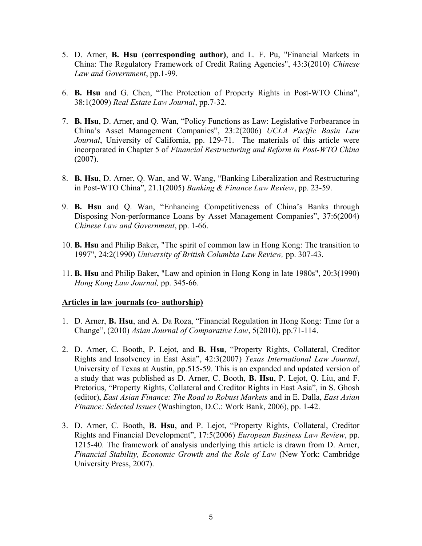- 5. D. Arner, B. Hsu (corresponding author), and L. F. Pu, "Financial Markets in China: The Regulatory Framework of Credit Rating Agencies", 43:3(2010) Chinese Law and Government, pp.1-99.
- 6. B. Hsu and G. Chen, "The Protection of Property Rights in Post-WTO China", 38:1(2009) Real Estate Law Journal, pp.7-32.
- 7. B. Hsu, D. Arner, and Q. Wan, "Policy Functions as Law: Legislative Forbearance in China's Asset Management Companies", 23:2(2006) UCLA Pacific Basin Law Journal, University of California, pp. 129-71. The materials of this article were incorporated in Chapter 5 of Financial Restructuring and Reform in Post-WTO China (2007).
- 8. B. Hsu, D. Arner, Q. Wan, and W. Wang, "Banking Liberalization and Restructuring in Post-WTO China", 21.1(2005) Banking & Finance Law Review, pp. 23-59.
- 9. B. Hsu and Q. Wan, "Enhancing Competitiveness of China's Banks through Disposing Non-performance Loans by Asset Management Companies", 37:6(2004) Chinese Law and Government, pp. 1-66.
- 10. B. Hsu and Philip Baker, "The spirit of common law in Hong Kong: The transition to 1997", 24:2(1990) University of British Columbia Law Review, pp. 307-43.
- 11. B. Hsu and Philip Baker, "Law and opinion in Hong Kong in late 1980s", 20:3(1990) Hong Kong Law Journal, pp. 345-66.

#### Articles in law journals (co- authorship)

- 1. D. Arner, B. Hsu, and A. Da Roza, "Financial Regulation in Hong Kong: Time for a Change", (2010) Asian Journal of Comparative Law, 5(2010), pp.71-114.
- 2. D. Arner, C. Booth, P. Lejot, and B. Hsu, "Property Rights, Collateral, Creditor Rights and Insolvency in East Asia", 42:3(2007) Texas International Law Journal, University of Texas at Austin, pp.515-59. This is an expanded and updated version of a study that was published as D. Arner, C. Booth, B. Hsu, P. Lejot, Q. Liu, and F. Pretorius, "Property Rights, Collateral and Creditor Rights in East Asia", in S. Ghosh (editor), East Asian Finance: The Road to Robust Markets and in E. Dalla, East Asian Finance: Selected Issues (Washington, D.C.: Work Bank, 2006), pp. 1-42.
- 3. D. Arner, C. Booth, B. Hsu, and P. Lejot, "Property Rights, Collateral, Creditor Rights and Financial Development", 17:5(2006) European Business Law Review, pp. 1215-40. The framework of analysis underlying this article is drawn from D. Arner, Financial Stability, Economic Growth and the Role of Law (New York: Cambridge University Press, 2007).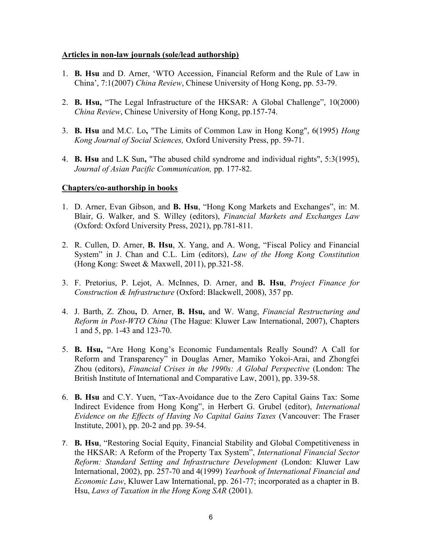#### Articles in non-law journals (sole/lead authorship)

- 1. B. Hsu and D. Arner, 'WTO Accession, Financial Reform and the Rule of Law in China', 7:1(2007) China Review, Chinese University of Hong Kong, pp. 53-79.
- 2. B. Hsu, "The Legal Infrastructure of the HKSAR: A Global Challenge", 10(2000) China Review, Chinese University of Hong Kong, pp.157-74.
- 3. B. Hsu and M.C. Lo, "The Limits of Common Law in Hong Kong", 6(1995) Hong Kong Journal of Social Sciences, Oxford University Press, pp. 59-71.
- 4. B. Hsu and L.K Sun, "The abused child syndrome and individual rights", 5:3(1995), Journal of Asian Pacific Communication, pp. 177-82.

## Chapters/co-authorship in books

- 1. D. Arner, Evan Gibson, and B. Hsu, "Hong Kong Markets and Exchanges", in: M. Blair, G. Walker, and S. Willey (editors), Financial Markets and Exchanges Law (Oxford: Oxford University Press, 2021), pp.781-811.
- 2. R. Cullen, D. Arner, B. Hsu, X. Yang, and A. Wong, "Fiscal Policy and Financial System" in J. Chan and C.L. Lim (editors), Law of the Hong Kong Constitution (Hong Kong: Sweet & Maxwell, 2011), pp.321-58.
- 3. F. Pretorius, P. Lejot, A. McInnes, D. Arner, and B. Hsu, Project Finance for Construction & Infrastructure (Oxford: Blackwell, 2008), 357 pp.
- 4. J. Barth, Z. Zhou, D. Arner, B. Hsu, and W. Wang, *Financial Restructuring and* Reform in Post-WTO China (The Hague: Kluwer Law International, 2007), Chapters 1 and 5, pp. 1-43 and 123-70.
- 5. B. Hsu, "Are Hong Kong's Economic Fundamentals Really Sound? A Call for Reform and Transparency" in Douglas Arner, Mamiko Yokoi-Arai, and Zhongfei Zhou (editors), Financial Crises in the 1990s: A Global Perspective (London: The British Institute of International and Comparative Law, 2001), pp. 339-58.
- 6. B. Hsu and C.Y. Yuen, "Tax-Avoidance due to the Zero Capital Gains Tax: Some Indirect Evidence from Hong Kong", in Herbert G. Grubel (editor), International Evidence on the Effects of Having No Capital Gains Taxes (Vancouver: The Fraser Institute, 2001), pp. 20-2 and pp. 39-54.
- 7. B. Hsu, "Restoring Social Equity, Financial Stability and Global Competitiveness in the HKSAR: A Reform of the Property Tax System", International Financial Sector Reform: Standard Setting and Infrastructure Development (London: Kluwer Law International, 2002), pp. 257-70 and 4(1999) Yearbook of International Financial and Economic Law, Kluwer Law International, pp. 261-77; incorporated as a chapter in B. Hsu, Laws of Taxation in the Hong Kong SAR (2001).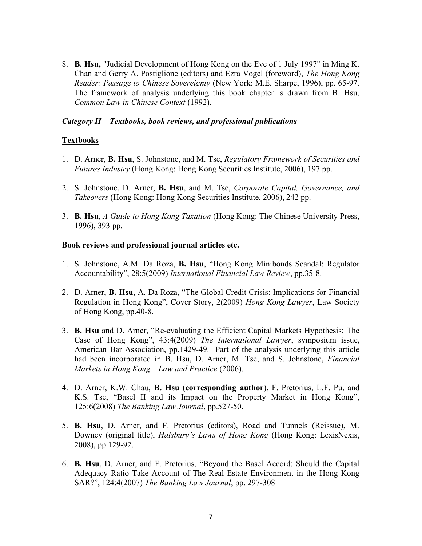8. B. Hsu, "Judicial Development of Hong Kong on the Eve of 1 July 1997" in Ming K. Chan and Gerry A. Postiglione (editors) and Ezra Vogel (foreword), The Hong Kong Reader: Passage to Chinese Sovereignty (New York: M.E. Sharpe, 1996), pp. 65-97. The framework of analysis underlying this book chapter is drawn from B. Hsu, Common Law in Chinese Context (1992).

#### Category II – Textbooks, book reviews, and professional publications

## **Textbooks**

- 1. D. Arner, **B. Hsu**, S. Johnstone, and M. Tse, Regulatory Framework of Securities and Futures Industry (Hong Kong: Hong Kong Securities Institute, 2006), 197 pp.
- 2. S. Johnstone, D. Arner, B. Hsu, and M. Tse, Corporate Capital, Governance, and Takeovers (Hong Kong: Hong Kong Securities Institute, 2006), 242 pp.
- 3. B. Hsu, A Guide to Hong Kong Taxation (Hong Kong: The Chinese University Press, 1996), 393 pp.

#### Book reviews and professional journal articles etc.

- 1. S. Johnstone, A.M. Da Roza, B. Hsu, "Hong Kong Minibonds Scandal: Regulator Accountability", 28:5(2009) International Financial Law Review, pp.35-8.
- 2. D. Arner, B. Hsu, A. Da Roza, "The Global Credit Crisis: Implications for Financial Regulation in Hong Kong", Cover Story, 2(2009) Hong Kong Lawyer, Law Society of Hong Kong, pp.40-8.
- 3. B. Hsu and D. Arner, "Re-evaluating the Efficient Capital Markets Hypothesis: The Case of Hong Kong", 43:4(2009) The International Lawyer, symposium issue, American Bar Association, pp.1429-49. Part of the analysis underlying this article had been incorporated in B. Hsu, D. Arner, M. Tse, and S. Johnstone, Financial Markets in Hong Kong – Law and Practice (2006).
- 4. D. Arner, K.W. Chau, B. Hsu (corresponding author), F. Pretorius, L.F. Pu, and K.S. Tse, "Basel II and its Impact on the Property Market in Hong Kong", 125:6(2008) The Banking Law Journal, pp.527-50.
- 5. B. Hsu, D. Arner, and F. Pretorius (editors), Road and Tunnels (Reissue), M. Downey (original title), Halsbury's Laws of Hong Kong (Hong Kong: LexisNexis, 2008), pp.129-92.
- 6. B. Hsu, D. Arner, and F. Pretorius, "Beyond the Basel Accord: Should the Capital Adequacy Ratio Take Account of The Real Estate Environment in the Hong Kong SAR?", 124:4(2007) The Banking Law Journal, pp. 297-308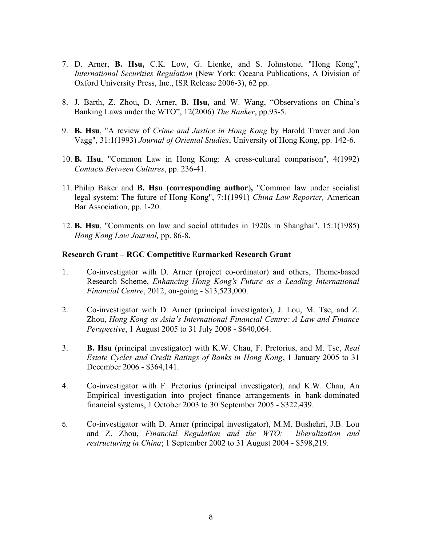- 7. D. Arner, B. Hsu, C.K. Low, G. Lienke, and S. Johnstone, "Hong Kong", International Securities Regulation (New York: Oceana Publications, A Division of Oxford University Press, Inc., ISR Release 2006-3), 62 pp.
- 8. J. Barth, Z. Zhou, D. Arner, B. Hsu, and W. Wang, "Observations on China's Banking Laws under the WTO", 12(2006) The Banker, pp.93-5.
- 9. **B. Hsu**, "A review of *Crime and Justice in Hong Kong* by Harold Traver and Jon Vagg", 31:1(1993) Journal of Oriental Studies, University of Hong Kong, pp. 142-6.
- 10. B. Hsu, "Common Law in Hong Kong: A cross-cultural comparison", 4(1992) Contacts Between Cultures, pp. 236-41.
- 11. Philip Baker and B. Hsu (corresponding author), "Common law under socialist legal system: The future of Hong Kong", 7:1(1991) China Law Reporter, American Bar Association, pp. 1-20.
- 12. B. Hsu, "Comments on law and social attitudes in 1920s in Shanghai", 15:1(1985) Hong Kong Law Journal, pp. 86-8.

#### Research Grant – RGC Competitive Earmarked Research Grant

- 1. Co-investigator with D. Arner (project co-ordinator) and others, Theme-based Research Scheme, Enhancing Hong Kong's Future as a Leading International Financial Centre, 2012, on-going - \$13,523,000.
- 2. Co-investigator with D. Arner (principal investigator), J. Lou, M. Tse, and Z. Zhou, Hong Kong as Asia's International Financial Centre: A Law and Finance Perspective, 1 August 2005 to 31 July 2008 - \$640,064.
- 3. B. Hsu (principal investigator) with K.W. Chau, F. Pretorius, and M. Tse, Real Estate Cycles and Credit Ratings of Banks in Hong Kong, 1 January 2005 to 31 December 2006 - \$364,141.
- 4. Co-investigator with F. Pretorius (principal investigator), and K.W. Chau, An Empirical investigation into project finance arrangements in bank-dominated financial systems, 1 October 2003 to 30 September 2005 - \$322,439.
- 5. Co-investigator with D. Arner (principal investigator), M.M. Bushehri, J.B. Lou and Z. Zhou, Financial Regulation and the WTO: liberalization and restructuring in China; 1 September 2002 to 31 August 2004 - \$598,219.